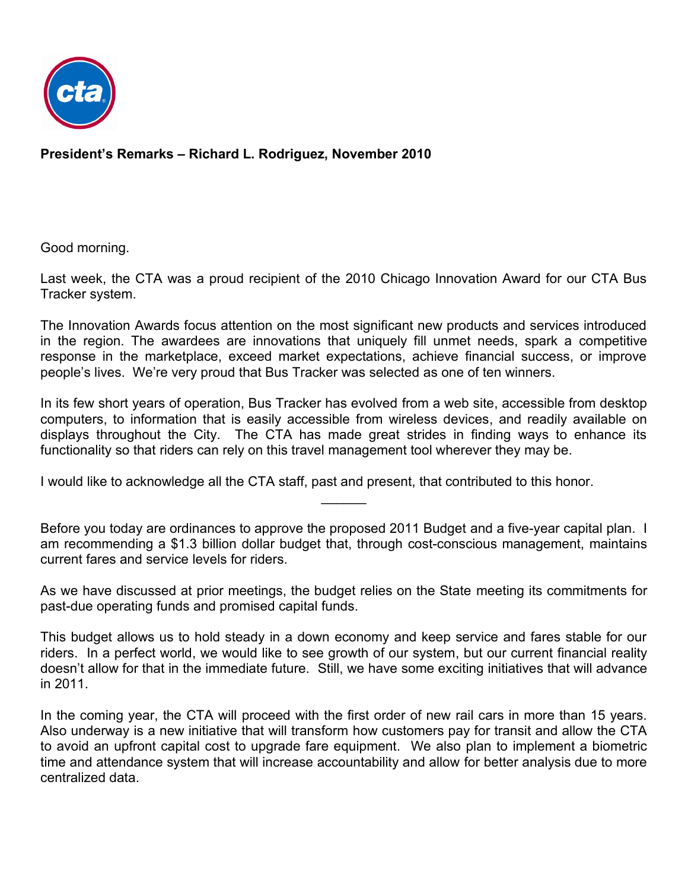

**President's Remarks – Richard L. Rodriguez, November 2010**

Good morning.

Last week, the CTA was a proud recipient of the 2010 Chicago Innovation Award for our CTA Bus Tracker system.

The Innovation Awards focus attention on the most significant new products and services introduced in the region. The awardees are innovations that uniquely fill unmet needs, spark a competitive response in the marketplace, exceed market expectations, achieve financial success, or improve people's lives. We're very proud that Bus Tracker was selected as one of ten winners.

In its few short years of operation, Bus Tracker has evolved from a web site, accessible from desktop computers, to information that is easily accessible from wireless devices, and readily available on displays throughout the City. The CTA has made great strides in finding ways to enhance its functionality so that riders can rely on this travel management tool wherever they may be.

I would like to acknowledge all the CTA staff, past and present, that contributed to this honor.

Before you today are ordinances to approve the proposed 2011 Budget and a five-year capital plan. I am recommending a \$1.3 billion dollar budget that, through cost-conscious management, maintains current fares and service levels for riders.

 $\frac{1}{2}$ 

As we have discussed at prior meetings, the budget relies on the State meeting its commitments for past-due operating funds and promised capital funds.

This budget allows us to hold steady in a down economy and keep service and fares stable for our riders. In a perfect world, we would like to see growth of our system, but our current financial reality doesn't allow for that in the immediate future. Still, we have some exciting initiatives that will advance in 2011.

In the coming year, the CTA will proceed with the first order of new rail cars in more than 15 years. Also underway is a new initiative that will transform how customers pay for transit and allow the CTA to avoid an upfront capital cost to upgrade fare equipment. We also plan to implement a biometric time and attendance system that will increase accountability and allow for better analysis due to more centralized data.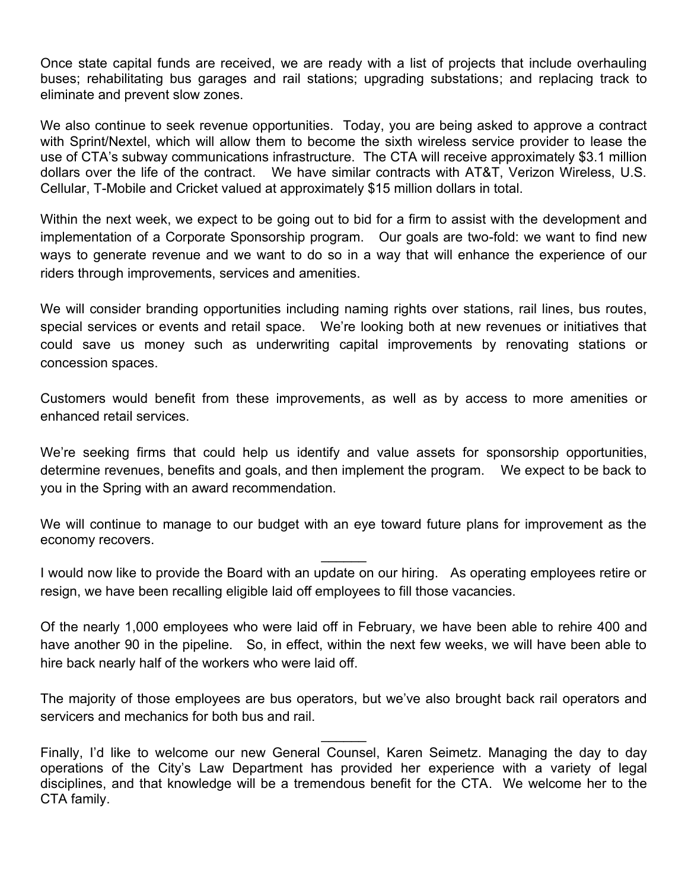Once state capital funds are received, we are ready with a list of projects that include overhauling buses; rehabilitating bus garages and rail stations; upgrading substations; and replacing track to eliminate and prevent slow zones.

We also continue to seek revenue opportunities. Today, you are being asked to approve a contract with Sprint/Nextel, which will allow them to become the sixth wireless service provider to lease the use of CTA's subway communications infrastructure. The CTA will receive approximately \$3.1 million dollars over the life of the contract. We have similar contracts with AT&T, Verizon Wireless, U.S. Cellular, T-Mobile and Cricket valued at approximately \$15 million dollars in total.

Within the next week, we expect to be going out to bid for a firm to assist with the development and implementation of a Corporate Sponsorship program. Our goals are two-fold: we want to find new ways to generate revenue and we want to do so in a way that will enhance the experience of our riders through improvements, services and amenities.

We will consider branding opportunities including naming rights over stations, rail lines, bus routes, special services or events and retail space. We're looking both at new revenues or initiatives that could save us money such as underwriting capital improvements by renovating stations or concession spaces.

Customers would benefit from these improvements, as well as by access to more amenities or enhanced retail services.

We're seeking firms that could help us identify and value assets for sponsorship opportunities, determine revenues, benefits and goals, and then implement the program. We expect to be back to you in the Spring with an award recommendation.

We will continue to manage to our budget with an eye toward future plans for improvement as the economy recovers.

 $\frac{1}{2}$ 

I would now like to provide the Board with an update on our hiring. As operating employees retire or resign, we have been recalling eligible laid off employees to fill those vacancies.

Of the nearly 1,000 employees who were laid off in February, we have been able to rehire 400 and have another 90 in the pipeline. So, in effect, within the next few weeks, we will have been able to hire back nearly half of the workers who were laid off.

The majority of those employees are bus operators, but we've also brought back rail operators and servicers and mechanics for both bus and rail.

 $\frac{1}{2}$ 

Finally, I'd like to welcome our new General Counsel, Karen Seimetz. Managing the day to day operations of the City's Law Department has provided her experience with a variety of legal disciplines, and that knowledge will be a tremendous benefit for the CTA. We welcome her to the CTA family.